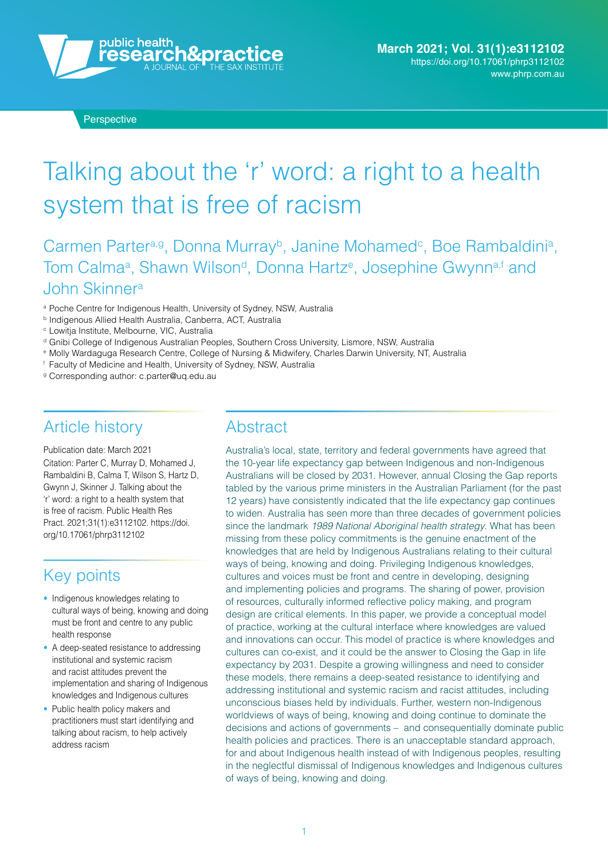

**Perspective** 

# Talking about the 'r' word: a right to a health system that is free of racism

Carmen Parter<sup>a,g</sup>, Donna Murray<sup>b</sup>, Janine Mohamed<sup>c</sup>, Boe Rambaldini<sup>a</sup>, Tom Calmaª, Shawn Wilson<sup>d</sup>, Donna Hartz<sup>e</sup>, Josephine Gwynn<sup>a,f</sup> and John Skinnera

- <sup>a</sup> Poche Centre for Indigenous Health, University of Sydney, NSW, Australia
- **b Indigenous Allied Health Australia, Canberra, ACT, Australia**
- <sup>c</sup> Lowitja Institute, Melbourne, VIC, Australia
- <sup>d</sup> Gnibi College of Indigenous Australian Peoples, Southern Cross University, Lismore, NSW, Australia
- <sup>e</sup> Molly Wardaguga Research Centre, College of Nursing & Midwifery, Charles Darwin University, NT, Australia
- <sup>f</sup> Faculty of Medicine and Health, University of Sydney, NSW, Australia
- <sup>g</sup> Corresponding author: [c.parter@uq.edu.au](mailto:c.parter%40uq.edu.au?subject=)

#### Article history

Publication date: March 2021 Citation: Parter C, Murray D, Mohamed J, Rambaldini B, Calma T, Wilson S, Hartz D, Gwynn J, Skinner J. Talking about the 'r' word: a right to a health system that is free of racism. Public Health Res Pract. 2021;31(1):e3112102. [https://doi.](https://doi.org/10.17061/phrp3112102) [org/10.17061/phrp3112102](https://doi.org/10.17061/phrp3112102)

## Key points

- Indigenous knowledges relating to cultural ways of being, knowing and doing must be front and centre to any public health response
- A deep-seated resistance to addressing institutional and systemic racism and racist attitudes prevent the implementation and sharing of Indigenous knowledges and Indigenous cultures
- Public health policy makers and practitioners must start identifying and talking about racism, to help actively address racism

#### **Abstract**

Australia's local, state, territory and federal governments have agreed that the 10-year life expectancy gap between Indigenous and non-Indigenous Australians will be closed by 2031. However, annual Closing the Gap reports tabled by the various prime ministers in the Australian Parliament (for the past 12 years) have consistently indicated that the life expectancy gap continues to widen. Australia has seen more than three decades of government policies since the landmark 1989 National Aboriginal health strategy. What has been missing from these policy commitments is the genuine enactment of the knowledges that are held by Indigenous Australians relating to their cultural ways of being, knowing and doing. Privileging Indigenous knowledges, cultures and voices must be front and centre in developing, designing and implementing policies and programs. The sharing of power, provision of resources, culturally informed reflective policy making, and program design are critical elements. In this paper, we provide a conceptual model of practice, working at the cultural interface where knowledges are valued and innovations can occur. This model of practice is where knowledges and cultures can co-exist, and it could be the answer to Closing the Gap in life expectancy by 2031. Despite a growing willingness and need to consider these models, there remains a deep-seated resistance to identifying and addressing institutional and systemic racism and racist attitudes, including unconscious biases held by individuals. Further, western non-Indigenous worldviews of ways of being, knowing and doing continue to dominate the decisions and actions of governments – and consequentially dominate public health policies and practices. There is an unacceptable standard approach, for and about Indigenous health instead of with Indigenous peoples, resulting in the neglectful dismissal of Indigenous knowledges and Indigenous cultures of ways of being, knowing and doing.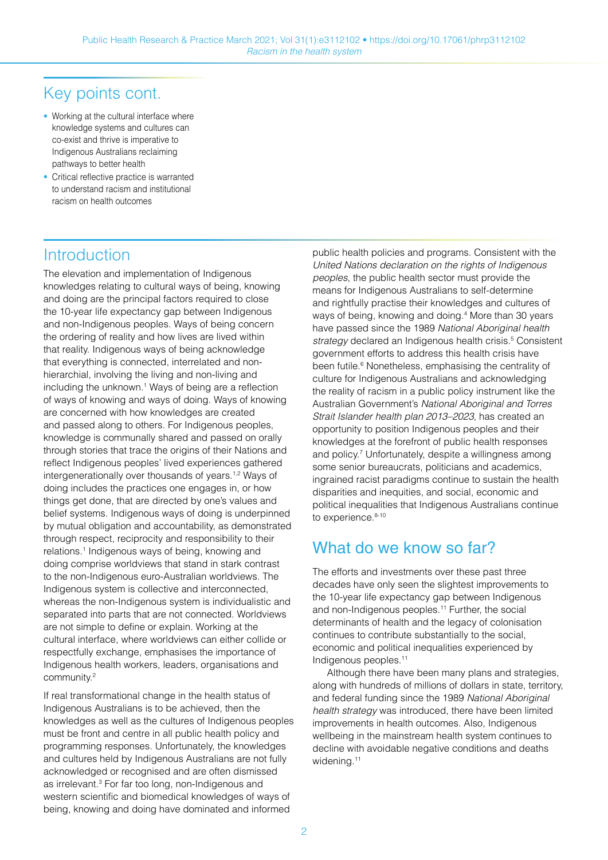## Key points cont.

- Working at the cultural interface where knowledge systems and cultures can co-exist and thrive is imperative to Indigenous Australians reclaiming pathways to better health
- Critical reflective practice is warranted to understand racism and institutional racism on health outcomes

### **Introduction**

The elevation and implementation of Indigenous knowledges relating to cultural ways of being, knowing and doing are the principal factors required to close the 10-year life expectancy gap between Indigenous and non-Indigenous peoples. Ways of being concern the ordering of reality and how lives are lived within that reality. Indigenous ways of being acknowledge that everything is connected, interrelated and nonhierarchial, involving the living and non-living and including the unknown.1 Ways of being are a reflection of ways of knowing and ways of doing. Ways of knowing are concerned with how knowledges are created and passed along to others. For Indigenous peoples, knowledge is communally shared and passed on orally through stories that trace the origins of their Nations and reflect Indigenous peoples' lived experiences gathered intergenerationally over thousands of years.<sup>1,2</sup> Ways of doing includes the practices one engages in, or how things get done, that are directed by one's values and belief systems. Indigenous ways of doing is underpinned by mutual obligation and accountability, as demonstrated through respect, reciprocity and responsibility to their relations.1 Indigenous ways of being, knowing and doing comprise worldviews that stand in stark contrast to the non-Indigenous euro-Australian worldviews. The Indigenous system is collective and interconnected, whereas the non-Indigenous system is individualistic and separated into parts that are not connected. Worldviews are not simple to define or explain. Working at the cultural interface, where worldviews can either collide or respectfully exchange, emphasises the importance of Indigenous health workers, leaders, organisations and community.2

If real transformational change in the health status of Indigenous Australians is to be achieved, then the knowledges as well as the cultures of Indigenous peoples must be front and centre in all public health policy and programming responses. Unfortunately, the knowledges and cultures held by Indigenous Australians are not fully acknowledged or recognised and are often dismissed as irrelevant.<sup>3</sup> For far too long, non-Indigenous and western scientific and biomedical knowledges of ways of being, knowing and doing have dominated and informed

public health policies and programs. Consistent with the United Nations declaration on the rights of Indigenous peoples, the public health sector must provide the means for Indigenous Australians to self-determine and rightfully practise their knowledges and cultures of ways of being, knowing and doing.4 More than 30 years have passed since the 1989 National Aboriginal health strategy declared an Indigenous health crisis.<sup>5</sup> Consistent government efforts to address this health crisis have been futile.<sup>6</sup> Nonetheless, emphasising the centrality of culture for Indigenous Australians and acknowledging the reality of racism in a public policy instrument like the Australian Government's National Aboriginal and Torres Strait Islander health plan 2013–2023, has created an opportunity to position Indigenous peoples and their knowledges at the forefront of public health responses and policy.<sup>7</sup> Unfortunately, despite a willingness among some senior bureaucrats, politicians and academics, ingrained racist paradigms continue to sustain the health disparities and inequities, and social, economic and political inequalities that Indigenous Australians continue to experience.<sup>8-10</sup>

## What do we know so far?

The efforts and investments over these past three decades have only seen the slightest improvements to the 10-year life expectancy gap between Indigenous and non-Indigenous peoples.<sup>11</sup> Further, the social determinants of health and the legacy of colonisation continues to contribute substantially to the social, economic and political inequalities experienced by Indigenous peoples.11

Although there have been many plans and strategies, along with hundreds of millions of dollars in state, territory, and federal funding since the 1989 National Aboriginal health strategy was introduced, there have been limited improvements in health outcomes. Also, Indigenous wellbeing in the mainstream health system continues to decline with avoidable negative conditions and deaths widening.<sup>11</sup>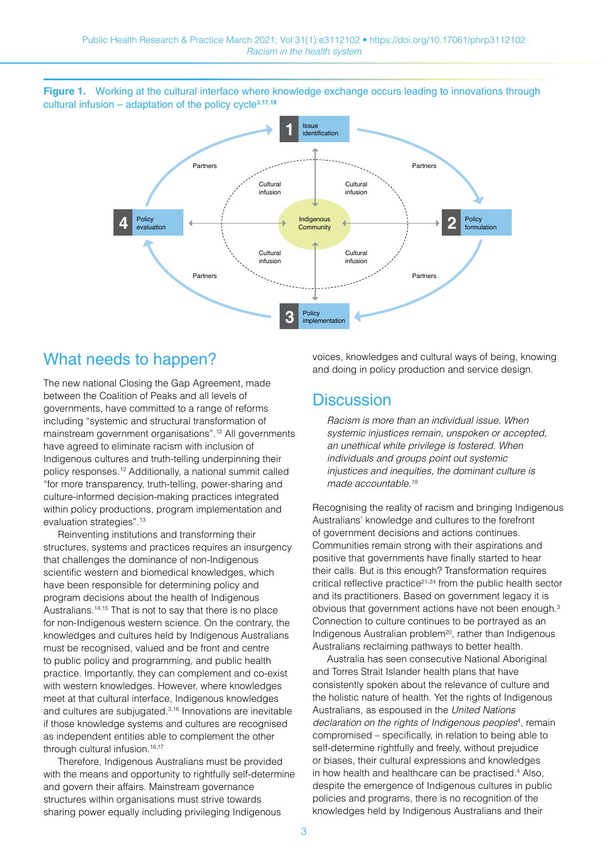**Figure 1.** Working at the cultural interface where knowledge exchange occurs leading to innovations through cultural infusion – adaptation of the policy cycle**3,17,18**



#### What needs to happen?

The new national Closing the Gap Agreement, made between the Coalition of Peaks and all levels of governments, have committed to a range of reforms including "systemic and structural transformation of mainstream government organisations".12 All governments have agreed to eliminate racism with inclusion of Indigenous cultures and truth-telling underpinning their policy responses.12 Additionally, a national summit called "for more transparency, truth-telling, power-sharing and culture-informed decision-making practices integrated within policy productions, program implementation and evaluation strategies".<sup>13</sup>

Reinventing institutions and transforming their structures, systems and practices requires an insurgency that challenges the dominance of non-Indigenous scientific western and biomedical knowledges, which have been responsible for determining policy and program decisions about the health of Indigenous Australians.14,15 That is not to say that there is no place for non-Indigenous western science. On the contrary, the knowledges and cultures held by Indigenous Australians must be recognised, valued and be front and centre to public policy and programming, and public health practice. Importantly, they can complement and co-exist with western knowledges. However, where knowledges meet at that cultural interface, Indigenous knowledges and cultures are subjugated.3,16 Innovations are inevitable if those knowledge systems and cultures are recognised as independent entities able to complement the other through cultural infusion.<sup>16,17</sup>

Therefore, Indigenous Australians must be provided with the means and opportunity to rightfully self-determine and govern their affairs. Mainstream governance structures within organisations must strive towards sharing power equally including privileging Indigenous

voices, knowledges and cultural ways of being, knowing and doing in policy production and service design.

#### **Discussion**

Racism is more than an individual issue. When systemic injustices remain, unspoken or accepted, an unethical white privilege is fostered. When individuals and groups point out systemic injustices and inequities, the dominant culture is made accountable.<sup>19</sup>

Recognising the reality of racism and bringing Indigenous Australians' knowledge and cultures to the forefront of government decisions and actions continues. Communities remain strong with their aspirations and positive that governments have finally started to hear their calls. But is this enough? Transformation requires critical reflective practice<sup>21-24</sup> from the public health sector and its practitioners. Based on government legacy it is obvious that government actions have not been enough.3 Connection to culture continues to be portrayed as an Indigenous Australian problem<sup>20</sup>, rather than Indigenous Australians reclaiming pathways to better health.

Australia has seen consecutive National Aboriginal and Torres Strait Islander health plans that have consistently spoken about the relevance of culture and the holistic nature of health. Yet the rights of Indigenous Australians, as espoused in the United Nations declaration on the rights of Indigenous peoples<sup>4</sup>, remain compromised – specifically, in relation to being able to self-determine rightfully and freely, without prejudice or biases, their cultural expressions and knowledges in how health and healthcare can be practised.4 Also, despite the emergence of Indigenous cultures in public policies and programs, there is no recognition of the knowledges held by Indigenous Australians and their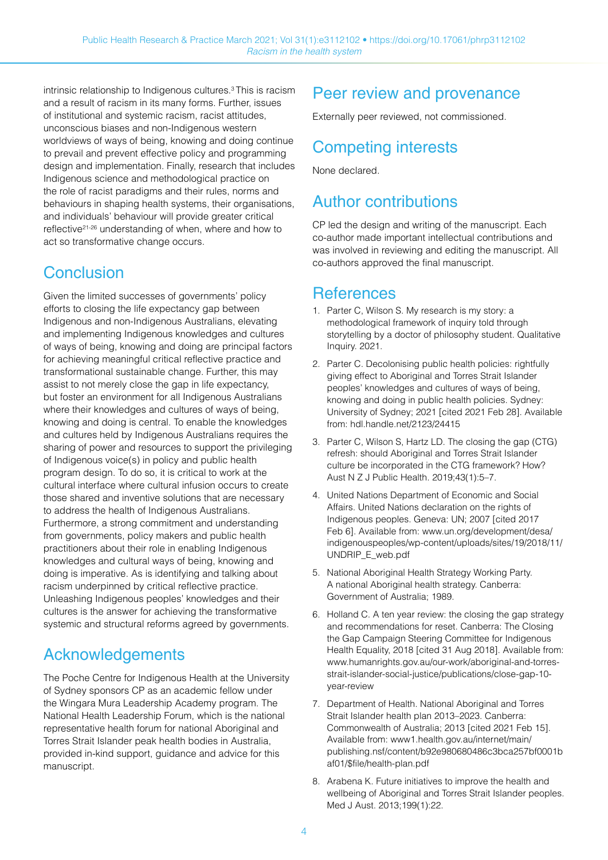intrinsic relationship to Indigenous cultures.3 This is racism and a result of racism in its many forms. Further, issues of institutional and systemic racism, racist attitudes, unconscious biases and non-Indigenous western worldviews of ways of being, knowing and doing continue to prevail and prevent effective policy and programming design and implementation. Finally, research that includes Indigenous science and methodological practice on the role of racist paradigms and their rules, norms and behaviours in shaping health systems, their organisations, and individuals' behaviour will provide greater critical reflective21-26 understanding of when, where and how to act so transformative change occurs.

## **Conclusion**

Given the limited successes of governments' policy efforts to closing the life expectancy gap between Indigenous and non-Indigenous Australians, elevating and implementing Indigenous knowledges and cultures of ways of being, knowing and doing are principal factors for achieving meaningful critical reflective practice and transformational sustainable change. Further, this may assist to not merely close the gap in life expectancy, but foster an environment for all Indigenous Australians where their knowledges and cultures of ways of being, knowing and doing is central. To enable the knowledges and cultures held by Indigenous Australians requires the sharing of power and resources to support the privileging of Indigenous voice(s) in policy and public health program design. To do so, it is critical to work at the cultural interface where cultural infusion occurs to create those shared and inventive solutions that are necessary to address the health of Indigenous Australians. Furthermore, a strong commitment and understanding from governments, policy makers and public health practitioners about their role in enabling Indigenous knowledges and cultural ways of being, knowing and doing is imperative. As is identifying and talking about racism underpinned by critical reflective practice. Unleashing Indigenous peoples' knowledges and their cultures is the answer for achieving the transformative systemic and structural reforms agreed by governments.

## Acknowledgements

The Poche Centre for Indigenous Health at the University of Sydney sponsors CP as an academic fellow under the Wingara Mura Leadership Academy program. The National Health Leadership Forum, which is the national representative health forum for national Aboriginal and Torres Strait Islander peak health bodies in Australia, provided in-kind support, guidance and advice for this manuscript.

## Peer review and provenance

Externally peer reviewed, not commissioned.

## Competing interests

None declared.

## Author contributions

CP led the design and writing of the manuscript. Each co-author made important intellectual contributions and was involved in reviewing and editing the manuscript. All co-authors approved the final manuscript.

### **References**

- 1. Parter C, Wilson S. My research is my story: a methodological framework of inquiry told through storytelling by a doctor of philosophy student. Qualitative Inquiry. 2021.
- 2. Parter C. Decolonising public health policies: rightfully giving effect to Aboriginal and Torres Strait Islander peoples' knowledges and cultures of ways of being, knowing and doing in public health policies. Sydney: University of Sydney; 2021 [cited 2021 Feb 28]. Available from: [hdl.handle.net/2123/24415](https://hdl.handle.net/2123/24415)
- 3. Parter C, Wilson S, Hartz LD. The closing the gap (CTG) refresh: should Aboriginal and Torres Strait Islander culture be incorporated in the CTG framework? How? Aust N Z J Public Health. 2019;43(1):5–7.
- 4. United Nations Department of Economic and Social Affairs. United Nations declaration on the rights of Indigenous peoples. Geneva: UN; 2007 [cited 2017 Feb 6]. Available from: [www.un.org/development/desa/](https://www.un.org/development/desa/indigenouspeoples/wp-content/uploads/sites/19/2018/11/UNDRIP_E_web.pdf) [indigenouspeoples/wp-content/uploads/sites/19/2018/11/](https://www.un.org/development/desa/indigenouspeoples/wp-content/uploads/sites/19/2018/11/UNDRIP_E_web.pdf) [UNDRIP\\_E\\_web.pdf](https://www.un.org/development/desa/indigenouspeoples/wp-content/uploads/sites/19/2018/11/UNDRIP_E_web.pdf)
- 5. National Aboriginal Health Strategy Working Party. A national Aboriginal health strategy. Canberra: Government of Australia; 1989.
- 6. Holland C. A ten year review: the closing the gap strategy and recommendations for reset. Canberra: The Closing the Gap Campaign Steering Committee for Indigenous Health Equality, 2018 [cited 31 Aug 2018]. Available from: [www.humanrights.gov.au/our-work/aboriginal-and-torres](http://www.humanrights.gov.au/our-work/aboriginal-and-torres-strait-islander-social-justice/publications/close-gap-10-year-review)[strait-islander-social-justice/publications/close-gap-10](http://www.humanrights.gov.au/our-work/aboriginal-and-torres-strait-islander-social-justice/publications/close-gap-10-year-review) [year-review](http://www.humanrights.gov.au/our-work/aboriginal-and-torres-strait-islander-social-justice/publications/close-gap-10-year-review)
- 7. Department of Health. National Aboriginal and Torres Strait Islander health plan 2013–2023. Canberra: Commonwealth of Australia; 2013 [cited 2021 Feb 15]. Available from: [www1.health.gov.au/internet/main/](https://www1.health.gov.au/internet/main/publishing.nsf/content/b92e980680486c3bca257bf0001baf01/$file/health-plan.pdf) [publishing.nsf/content/b92e980680486c3bca257bf0001b](https://www1.health.gov.au/internet/main/publishing.nsf/content/b92e980680486c3bca257bf0001baf01/$file/health-plan.pdf) [af01/\\$file/health-plan.pdf](https://www1.health.gov.au/internet/main/publishing.nsf/content/b92e980680486c3bca257bf0001baf01/$file/health-plan.pdf)
- 8. Arabena K. Future initiatives to improve the health and wellbeing of Aboriginal and Torres Strait Islander peoples. Med J Aust. 2013;199(1):22.